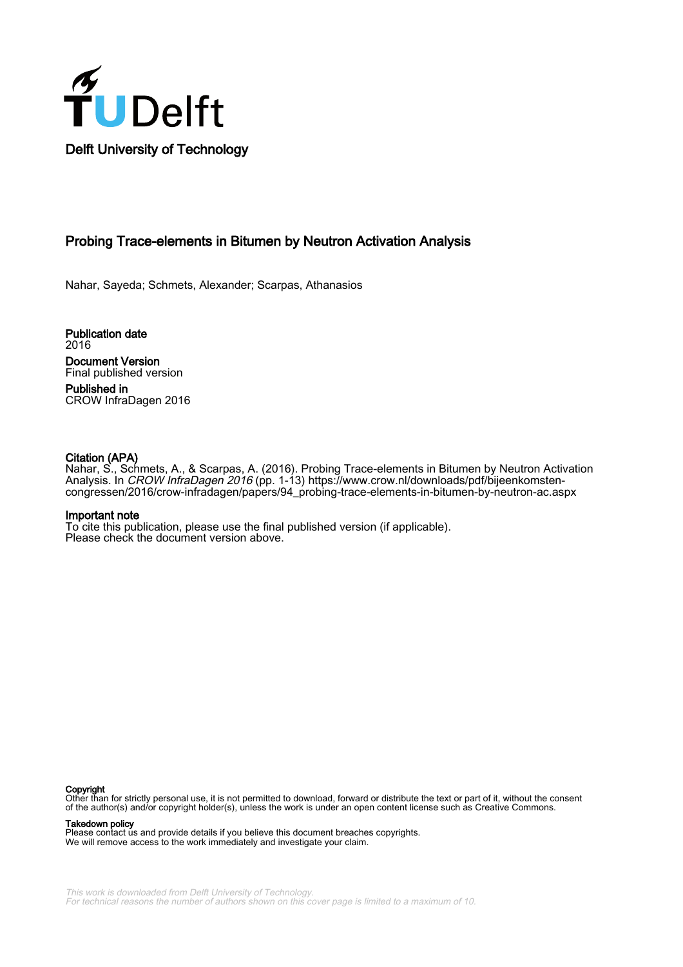

# Probing Trace-elements in Bitumen by Neutron Activation Analysis

Nahar, Sayeda; Schmets, Alexander; Scarpas, Athanasios

Publication date 2016 Document Version Final published version Published in

CROW InfraDagen 2016

#### Citation (APA)

Nahar, S., Schmets, A., & Scarpas, A. (2016). Probing Trace-elements in Bitumen by Neutron Activation Analysis. In CROW InfraDagen 2016 (pp. 1-13) [https://www.crow.nl/downloads/pdf/bijeenkomsten](https://www.crow.nl/downloads/pdf/bijeenkomsten-congressen/2016/crow-infradagen/papers/94_probing-trace-elements-in-bitumen-by-neutron-ac.aspx)[congressen/2016/crow-infradagen/papers/94\\_probing-trace-elements-in-bitumen-by-neutron-ac.aspx](https://www.crow.nl/downloads/pdf/bijeenkomsten-congressen/2016/crow-infradagen/papers/94_probing-trace-elements-in-bitumen-by-neutron-ac.aspx)

#### Important note

To cite this publication, please use the final published version (if applicable). Please check the document version above.

#### Copyright

Other than for strictly personal use, it is not permitted to download, forward or distribute the text or part of it, without the consent of the author(s) and/or copyright holder(s), unless the work is under an open content license such as Creative Commons.

Takedown policy

Please contact us and provide details if you believe this document breaches copyrights. We will remove access to the work immediately and investigate your claim.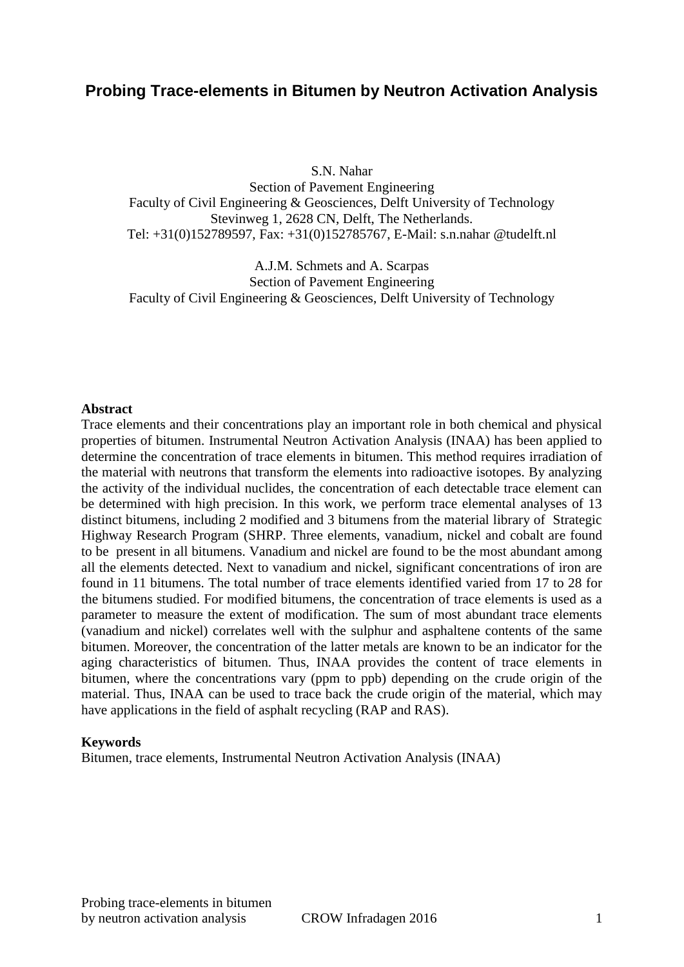# **Probing Trace-elements in Bitumen by Neutron Activation Analysis**

S.N. Nahar

Section of Pavement Engineering Faculty of Civil Engineering & Geosciences, Delft University of Technology Stevinweg 1, 2628 CN, Delft, The Netherlands. Tel: +31(0)152789597, Fax: +31(0)152785767, E-Mail: s.n.nahar @tudelft.nl

A.J.M. Schmets and A. Scarpas Section of Pavement Engineering Faculty of Civil Engineering & Geosciences, Delft University of Technology

#### **Abstract**

Trace elements and their concentrations play an important role in both chemical and physical properties of bitumen. Instrumental Neutron Activation Analysis (INAA) has been applied to determine the concentration of trace elements in bitumen. This method requires irradiation of the material with neutrons that transform the elements into radioactive isotopes. By analyzing the activity of the individual nuclides, the concentration of each detectable trace element can be determined with high precision. In this work, we perform trace elemental analyses of 13 distinct bitumens, including 2 modified and 3 bitumens from the material library of Strategic Highway Research Program (SHRP. Three elements, vanadium, nickel and cobalt are found to be present in all bitumens. Vanadium and nickel are found to be the most abundant among all the elements detected. Next to vanadium and nickel, significant concentrations of iron are found in 11 bitumens. The total number of trace elements identified varied from 17 to 28 for the bitumens studied. For modified bitumens, the concentration of trace elements is used as a parameter to measure the extent of modification. The sum of most abundant trace elements (vanadium and nickel) correlates well with the sulphur and asphaltene contents of the same bitumen. Moreover, the concentration of the latter metals are known to be an indicator for the aging characteristics of bitumen. Thus, INAA provides the content of trace elements in bitumen, where the concentrations vary (ppm to ppb) depending on the crude origin of the material. Thus, INAA can be used to trace back the crude origin of the material, which may have applications in the field of asphalt recycling (RAP and RAS).

#### **Keywords**

Bitumen, trace elements, Instrumental Neutron Activation Analysis (INAA)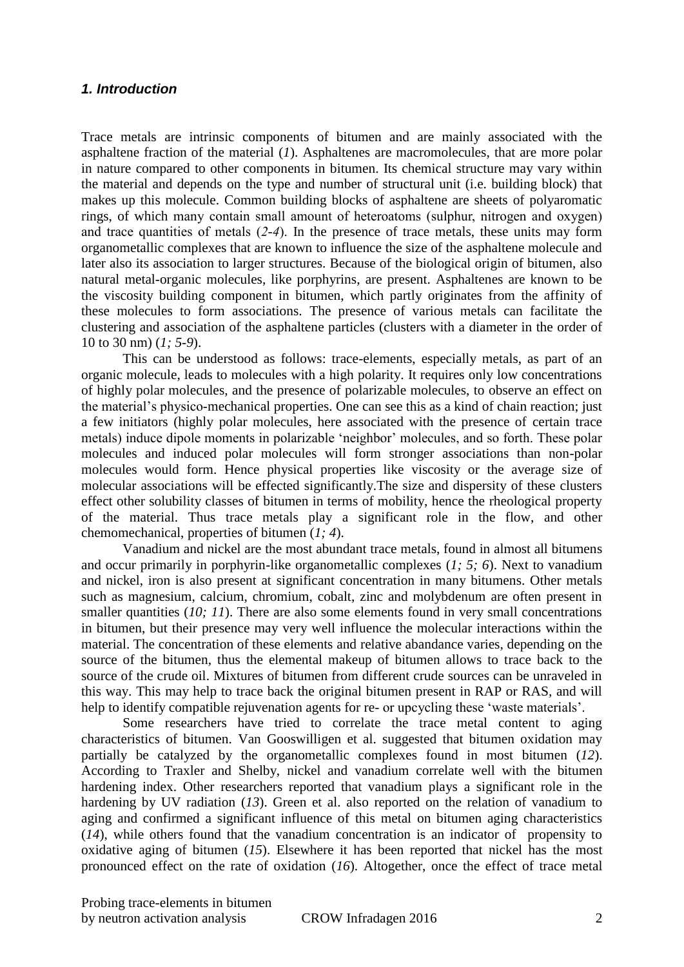### *1. Introduction*

Trace metals are intrinsic components of bitumen and are mainly associated with the asphaltene fraction of the material (*1*). Asphaltenes are macromolecules, that are more polar in nature compared to other components in bitumen. Its chemical structure may vary within the material and depends on the type and number of structural unit (i.e. building block) that makes up this molecule. Common building blocks of asphaltene are sheets of polyaromatic rings, of which many contain small amount of heteroatoms (sulphur, nitrogen and oxygen) and trace quantities of metals (*2-4*). In the presence of trace metals, these units may form organometallic complexes that are known to influence the size of the asphaltene molecule and later also its association to larger structures. Because of the biological origin of bitumen, also natural metal-organic molecules, like porphyrins, are present. Asphaltenes are known to be the viscosity building component in bitumen, which partly originates from the affinity of these molecules to form associations. The presence of various metals can facilitate the clustering and association of the asphaltene particles (clusters with a diameter in the order of 10 to 30 nm) (*1; 5-9*).

This can be understood as follows: trace-elements, especially metals, as part of an organic molecule, leads to molecules with a high polarity. It requires only low concentrations of highly polar molecules, and the presence of polarizable molecules, to observe an effect on the material's physico-mechanical properties. One can see this as a kind of chain reaction; just a few initiators (highly polar molecules, here associated with the presence of certain trace metals) induce dipole moments in polarizable 'neighbor' molecules, and so forth. These polar molecules and induced polar molecules will form stronger associations than non-polar molecules would form. Hence physical properties like viscosity or the average size of molecular associations will be effected significantly.The size and dispersity of these clusters effect other solubility classes of bitumen in terms of mobility, hence the rheological property of the material. Thus trace metals play a significant role in the flow, and other chemomechanical, properties of bitumen (*1; 4*).

Vanadium and nickel are the most abundant trace metals, found in almost all bitumens and occur primarily in porphyrin-like organometallic complexes (*1; 5; 6*). Next to vanadium and nickel, iron is also present at significant concentration in many bitumens. Other metals such as magnesium, calcium, chromium, cobalt, zinc and molybdenum are often present in smaller quantities (*10*; *11*). There are also some elements found in very small concentrations in bitumen, but their presence may very well influence the molecular interactions within the material. The concentration of these elements and relative abandance varies, depending on the source of the bitumen, thus the elemental makeup of bitumen allows to trace back to the source of the crude oil. Mixtures of bitumen from different crude sources can be unraveled in this way. This may help to trace back the original bitumen present in RAP or RAS, and will help to identify compatible rejuvenation agents for re- or upcycling these 'waste materials'.

Some researchers have tried to correlate the trace metal content to aging characteristics of bitumen. Van Gooswilligen et al. suggested that bitumen oxidation may partially be catalyzed by the organometallic complexes found in most bitumen (*12*). According to Traxler and Shelby, nickel and vanadium correlate well with the bitumen hardening index. Other researchers reported that vanadium plays a significant role in the hardening by UV radiation (*13*). Green et al. also reported on the relation of vanadium to aging and confirmed a significant influence of this metal on bitumen aging characteristics (*14*), while others found that the vanadium concentration is an indicator of propensity to oxidative aging of bitumen (*15*). Elsewhere it has been reported that nickel has the most pronounced effect on the rate of oxidation (*16*). Altogether, once the effect of trace metal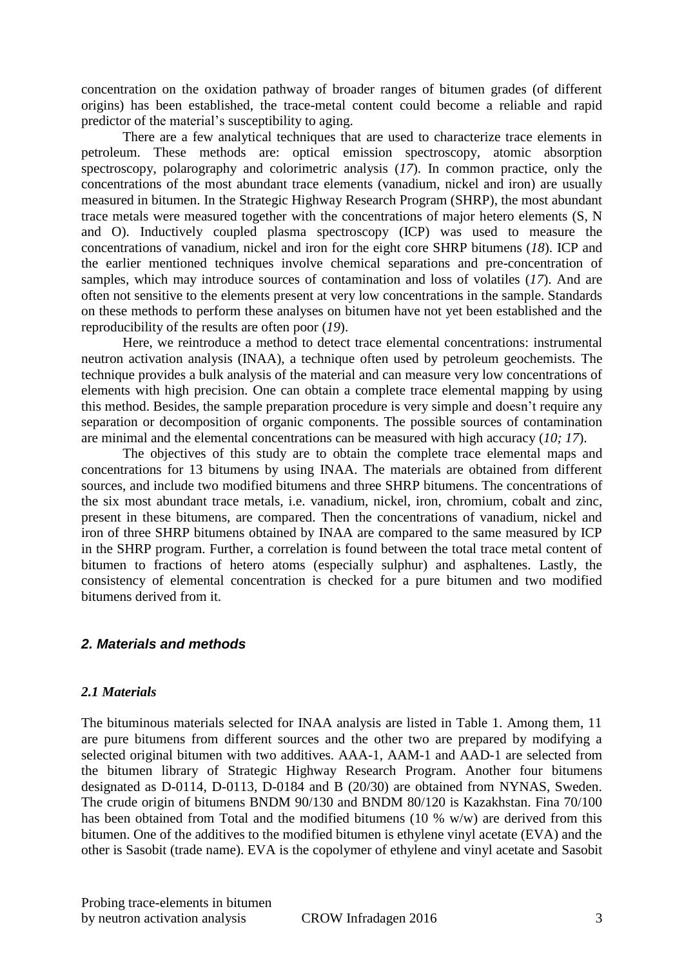concentration on the oxidation pathway of broader ranges of bitumen grades (of different origins) has been established, the trace-metal content could become a reliable and rapid predictor of the material's susceptibility to aging.

There are a few analytical techniques that are used to characterize trace elements in petroleum. These methods are: optical emission spectroscopy, atomic absorption spectroscopy, polarography and colorimetric analysis (*17*). In common practice, only the concentrations of the most abundant trace elements (vanadium, nickel and iron) are usually measured in bitumen. In the Strategic Highway Research Program (SHRP), the most abundant trace metals were measured together with the concentrations of major hetero elements (S, N and O). Inductively coupled plasma spectroscopy (ICP) was used to measure the concentrations of vanadium, nickel and iron for the eight core SHRP bitumens (*18*). ICP and the earlier mentioned techniques involve chemical separations and pre-concentration of samples, which may introduce sources of contamination and loss of volatiles (*17*). And are often not sensitive to the elements present at very low concentrations in the sample. Standards on these methods to perform these analyses on bitumen have not yet been established and the reproducibility of the results are often poor (*19*).

Here, we reintroduce a method to detect trace elemental concentrations: instrumental neutron activation analysis (INAA), a technique often used by petroleum geochemists. The technique provides a bulk analysis of the material and can measure very low concentrations of elements with high precision. One can obtain a complete trace elemental mapping by using this method. Besides, the sample preparation procedure is very simple and doesn't require any separation or decomposition of organic components. The possible sources of contamination are minimal and the elemental concentrations can be measured with high accuracy (*10; 17*).

The objectives of this study are to obtain the complete trace elemental maps and concentrations for 13 bitumens by using INAA. The materials are obtained from different sources, and include two modified bitumens and three SHRP bitumens. The concentrations of the six most abundant trace metals, i.e. vanadium, nickel, iron, chromium, cobalt and zinc, present in these bitumens, are compared. Then the concentrations of vanadium, nickel and iron of three SHRP bitumens obtained by INAA are compared to the same measured by ICP in the SHRP program. Further, a correlation is found between the total trace metal content of bitumen to fractions of hetero atoms (especially sulphur) and asphaltenes. Lastly, the consistency of elemental concentration is checked for a pure bitumen and two modified bitumens derived from it.

# *2. Materials and methods*

# *2.1 Materials*

The bituminous materials selected for INAA analysis are listed in Table 1. Among them, 11 are pure bitumens from different sources and the other two are prepared by modifying a selected original bitumen with two additives. AAA-1, AAM-1 and AAD-1 are selected from the bitumen library of Strategic Highway Research Program. Another four bitumens designated as D-0114, D-0113, D-0184 and B (20/30) are obtained from NYNAS, Sweden. The crude origin of bitumens BNDM 90/130 and BNDM 80/120 is Kazakhstan. Fina 70/100 has been obtained from Total and the modified bitumens (10 % w/w) are derived from this bitumen. One of the additives to the modified bitumen is ethylene vinyl acetate (EVA) and the other is Sasobit (trade name). EVA is the copolymer of ethylene and vinyl acetate and Sasobit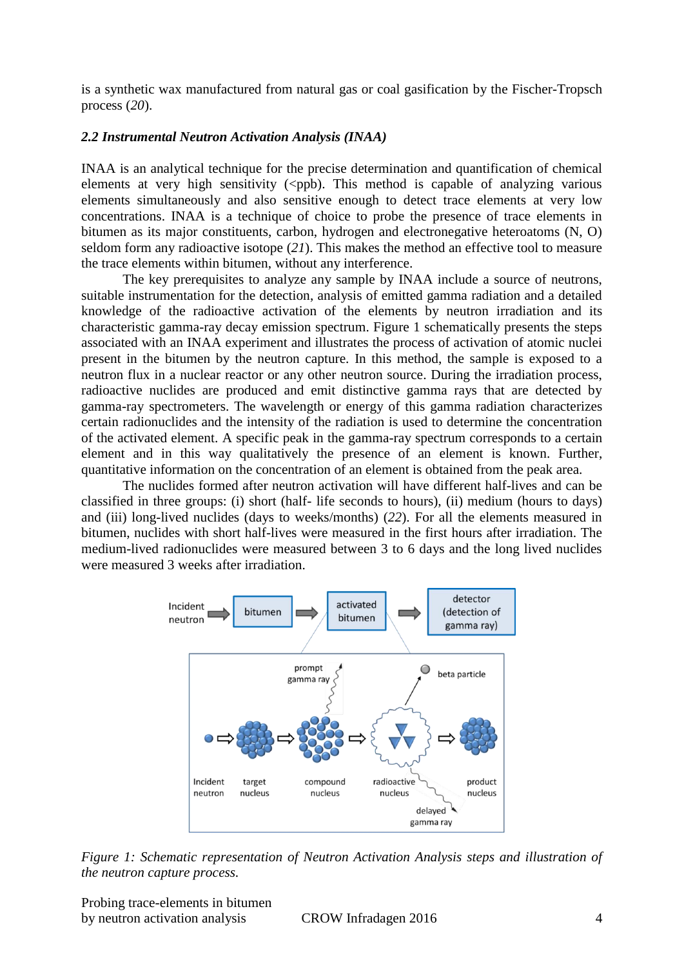is a synthetic wax manufactured from natural gas or coal gasification by the Fischer-Tropsch process (*20*).

### *2.2 Instrumental Neutron Activation Analysis (INAA)*

INAA is an analytical technique for the precise determination and quantification of chemical elements at very high sensitivity  $(\langle ppb \rangle)$ . This method is capable of analyzing various elements simultaneously and also sensitive enough to detect trace elements at very low concentrations. INAA is a technique of choice to probe the presence of trace elements in bitumen as its major constituents, carbon, hydrogen and electronegative heteroatoms (N, O) seldom form any radioactive isotope (*21*). This makes the method an effective tool to measure the trace elements within bitumen, without any interference.

The key prerequisites to analyze any sample by INAA include a source of neutrons, suitable instrumentation for the detection, analysis of emitted gamma radiation and a detailed knowledge of the radioactive activation of the elements by neutron irradiation and its characteristic gamma-ray decay emission spectrum. Figure 1 schematically presents the steps associated with an INAA experiment and illustrates the process of activation of atomic nuclei present in the bitumen by the neutron capture. In this method, the sample is exposed to a neutron flux in a nuclear reactor or any other neutron source. During the irradiation process, radioactive nuclides are produced and emit distinctive gamma rays that are detected by gamma-ray spectrometers. The wavelength or energy of this gamma radiation characterizes certain radionuclides and the intensity of the radiation is used to determine the concentration of the activated element. A specific peak in the gamma-ray spectrum corresponds to a certain element and in this way qualitatively the presence of an element is known. Further, quantitative information on the concentration of an element is obtained from the peak area.

The nuclides formed after neutron activation will have different half-lives and can be classified in three groups: (i) short (half- life seconds to hours), (ii) medium (hours to days) and (iii) long-lived nuclides (days to weeks/months) (*22*). For all the elements measured in bitumen, nuclides with short half-lives were measured in the first hours after irradiation. The medium-lived radionuclides were measured between 3 to 6 days and the long lived nuclides were measured 3 weeks after irradiation.



*Figure 1: Schematic representation of Neutron Activation Analysis steps and illustration of the neutron capture process.*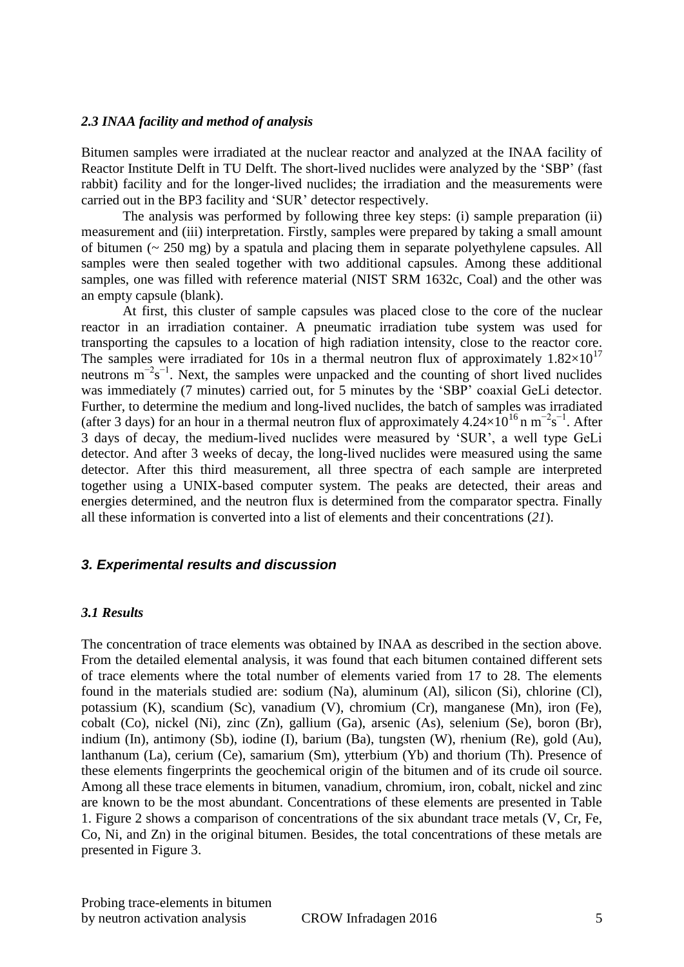#### *2.3 INAA facility and method of analysis*

Bitumen samples were irradiated at the nuclear reactor and analyzed at the INAA facility of Reactor Institute Delft in TU Delft. The short-lived nuclides were analyzed by the 'SBP' (fast rabbit) facility and for the longer-lived nuclides; the irradiation and the measurements were carried out in the BP3 facility and 'SUR' detector respectively.

The analysis was performed by following three key steps: (i) sample preparation (ii) measurement and (iii) interpretation. Firstly, samples were prepared by taking a small amount of bitumen ( $\sim$  250 mg) by a spatula and placing them in separate polyethylene capsules. All samples were then sealed together with two additional capsules. Among these additional samples, one was filled with reference material (NIST SRM 1632c, Coal) and the other was an empty capsule (blank).

At first, this cluster of sample capsules was placed close to the core of the nuclear reactor in an irradiation container. A pneumatic irradiation tube system was used for transporting the capsules to a location of high radiation intensity, close to the reactor core. The samples were irradiated for 10s in a thermal neutron flux of approximately  $1.82 \times 10^{17}$ neutrons  $m^{-2}s^{-1}$ . Next, the samples were unpacked and the counting of short lived nuclides was immediately (7 minutes) carried out, for 5 minutes by the 'SBP' coaxial GeLi detector. Further, to determine the medium and long-lived nuclides, the batch of samples was irradiated (after 3 days) for an hour in a thermal neutron flux of approximately  $4.24 \times 10^{16}$  n m<sup>-2</sup>s<sup>-1</sup>. After 3 days of decay, the medium-lived nuclides were measured by 'SUR', a well type GeLi detector. And after 3 weeks of decay, the long-lived nuclides were measured using the same detector. After this third measurement, all three spectra of each sample are interpreted together using a UNIX-based computer system. The peaks are detected, their areas and energies determined, and the neutron flux is determined from the comparator spectra. Finally all these information is converted into a list of elements and their concentrations (*21*).

#### *3. Experimental results and discussion*

#### *3.1 Results*

The concentration of trace elements was obtained by INAA as described in the section above. From the detailed elemental analysis, it was found that each bitumen contained different sets of trace elements where the total number of elements varied from 17 to 28. The elements found in the materials studied are: sodium (Na), aluminum (Al), silicon (Si), chlorine (Cl), potassium (K), scandium (Sc), vanadium (V), chromium (Cr), manganese (Mn), iron (Fe), cobalt (Co), nickel (Ni), zinc (Zn), gallium (Ga), arsenic (As), selenium (Se), boron (Br), indium (In), antimony (Sb), iodine (I), barium (Ba), tungsten (W), rhenium (Re), gold (Au), lanthanum (La), cerium (Ce), samarium (Sm), ytterbium (Yb) and thorium (Th). Presence of these elements fingerprints the geochemical origin of the bitumen and of its crude oil source. Among all these trace elements in bitumen, vanadium, chromium, iron, cobalt, nickel and zinc are known to be the most abundant. Concentrations of these elements are presented in Table 1. Figure 2 shows a comparison of concentrations of the six abundant trace metals (V, Cr, Fe, Co, Ni, and Zn) in the original bitumen. Besides, the total concentrations of these metals are presented in Figure 3.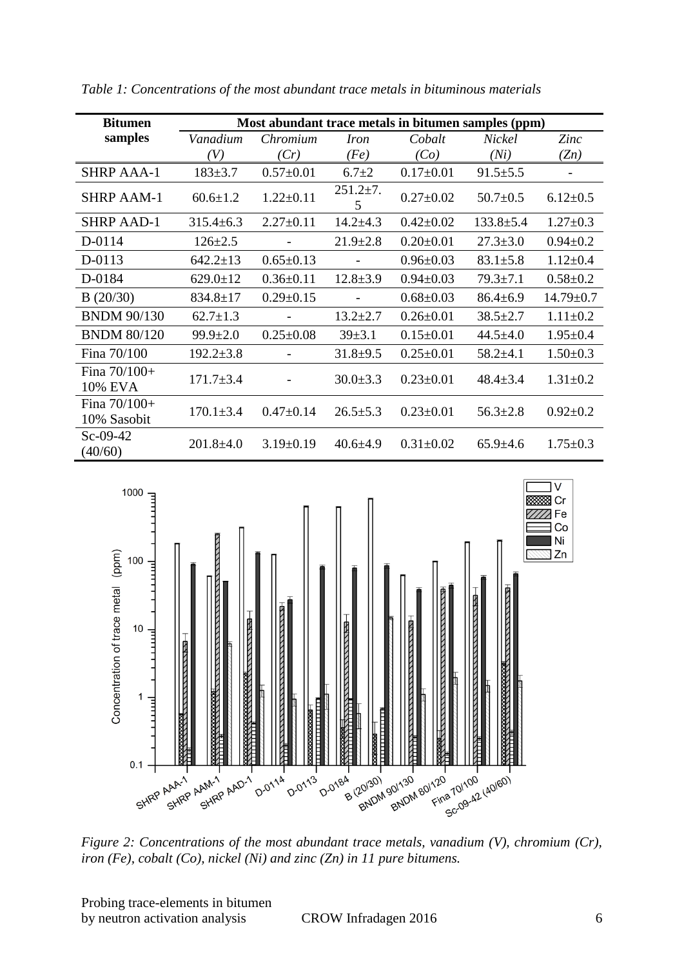| <b>Bitumen</b>                   | Most abundant trace metals in bitumen samples (ppm) |                 |                     |                 |                 |                 |  |
|----------------------------------|-----------------------------------------------------|-----------------|---------------------|-----------------|-----------------|-----------------|--|
| samples                          | Vanadium                                            | Chromium        | <i>Iron</i>         | Cobalt          | Nickel          | Zinc            |  |
|                                  | (V)                                                 | (Cr)            | (Fe)                | (Co)            | (Ni)            | (Zn)            |  |
| <b>SHRP AAA-1</b>                | $183 \pm 3.7$                                       | $0.57 \pm 0.01$ | $6.7 \pm 2$         | $0.17 \pm 0.01$ | $91.5 \pm 5.5$  |                 |  |
| <b>SHRP AAM-1</b>                | $60.6 \pm 1.2$                                      | $1.22 \pm 0.11$ | $251.2 \pm 7.$<br>5 | $0.27 \pm 0.02$ | $50.7 \pm 0.5$  | $6.12 \pm 0.5$  |  |
| <b>SHRP AAD-1</b>                | $315.4 \pm 6.3$                                     | $2.27 \pm 0.11$ | $14.2 \pm 4.3$      | $0.42 \pm 0.02$ | $133.8 \pm 5.4$ | $1.27 \pm 0.3$  |  |
| D-0114                           | $126 \pm 2.5$                                       |                 | $21.9 \pm 2.8$      | $0.20 \pm 0.01$ | $27.3 \pm 3.0$  | $0.94 \pm 0.2$  |  |
| D-0113                           | $642.2 \pm 13$                                      | $0.65 \pm 0.13$ |                     | $0.96 \pm 0.03$ | $83.1 \pm 5.8$  | $1.12 \pm 0.4$  |  |
| D-0184                           | $629.0 \pm 12$                                      | $0.36 \pm 0.11$ | $12.8 \pm 3.9$      | $0.94 \pm 0.03$ | $79.3 \pm 7.1$  | $0.58 \pm 0.2$  |  |
| B(20/30)                         | $834.8 \pm 17$                                      | $0.29 \pm 0.15$ |                     | $0.68 \pm 0.03$ | $86.4 \pm 6.9$  | $14.79 \pm 0.7$ |  |
| <b>BNDM 90/130</b>               | $62.7 \pm 1.3$                                      |                 | $13.2 \pm 2.7$      | $0.26 \pm 0.01$ | $38.5 \pm 2.7$  | $1.11 \pm 0.2$  |  |
| <b>BNDM 80/120</b>               | $99.9 \pm 2.0$                                      | $0.25 \pm 0.08$ | $39 \pm 3.1$        | $0.15 \pm 0.01$ | $44.5 \pm 4.0$  | $1.95 \pm 0.4$  |  |
| Fina 70/100                      | $192.2 \pm 3.8$                                     |                 | $31.8 \pm 9.5$      | $0.25 \pm 0.01$ | $58.2{\pm}4.1$  | $1.50 \pm 0.3$  |  |
| Fina $70/100+$<br><b>10% EVA</b> | $171.7 \pm 3.4$                                     |                 | $30.0 \pm 3.3$      | $0.23 \pm 0.01$ | $48.4 \pm 3.4$  | $1.31 \pm 0.2$  |  |
| Fina $70/100+$<br>10% Sasobit    | $170.1 \pm 3.4$                                     | $0.47 \pm 0.14$ | $26.5 \pm 5.3$      | $0.23 \pm 0.01$ | $56.3 \pm 2.8$  | $0.92 \pm 0.2$  |  |
| $Sc-09-42$<br>(40/60)            | $201.8 \pm 4.0$                                     | $3.19 \pm 0.19$ | $40.6 \pm 4.9$      | $0.31 \pm 0.02$ | $65.9 \pm 4.6$  | $1.75 \pm 0.3$  |  |

*Table 1: Concentrations of the most abundant trace metals in bituminous materials*



*Figure 2: Concentrations of the most abundant trace metals, vanadium (V), chromium (Cr), iron (Fe), cobalt (Co), nickel (Ni) and zinc (Zn) in 11 pure bitumens.*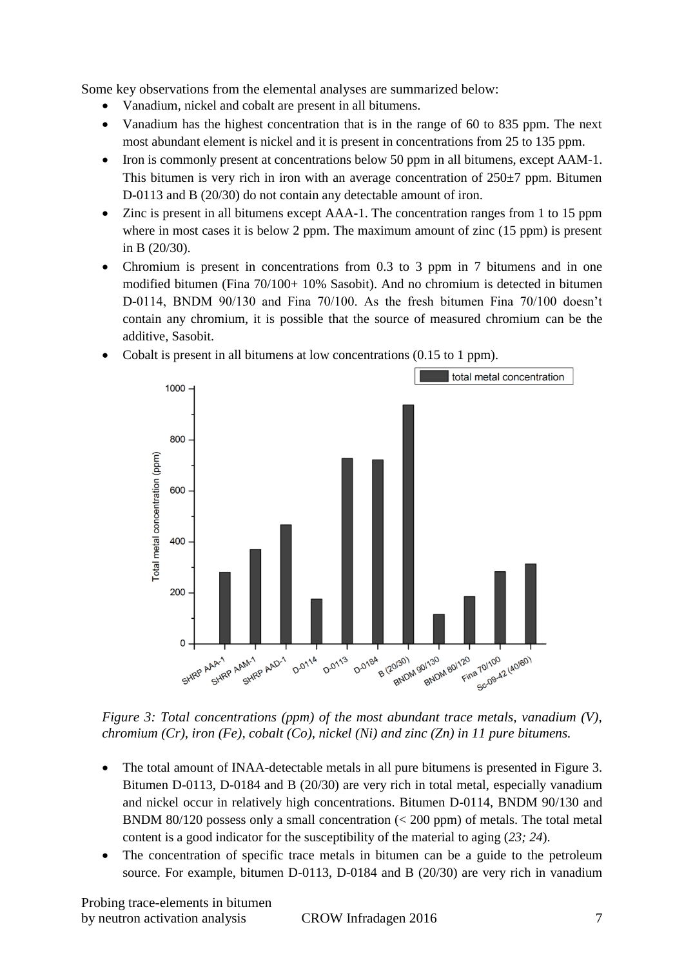Some key observations from the elemental analyses are summarized below:

- Vanadium, nickel and cobalt are present in all bitumens.
- Vanadium has the highest concentration that is in the range of 60 to 835 ppm. The next most abundant element is nickel and it is present in concentrations from 25 to 135 ppm.
- Iron is commonly present at concentrations below 50 ppm in all bitumens, except AAM-1. This bitumen is very rich in iron with an average concentration of  $250\pm7$  ppm. Bitumen D-0113 and B (20/30) do not contain any detectable amount of iron.
- Zinc is present in all bitumens except AAA-1. The concentration ranges from 1 to 15 ppm where in most cases it is below 2 ppm. The maximum amount of zinc (15 ppm) is present in B (20/30).
- Chromium is present in concentrations from 0.3 to 3 ppm in 7 bitumens and in one modified bitumen (Fina 70/100+ 10% Sasobit). And no chromium is detected in bitumen D-0114, BNDM 90/130 and Fina 70/100. As the fresh bitumen Fina 70/100 doesn't contain any chromium, it is possible that the source of measured chromium can be the additive, Sasobit.
	- total metal concentration 1000 800 Total metal concentration (ppm) 600 400 200  $\Omega$ 120 10/100 a 701100<br>Ba 701100<br>Scr09-42 (40160) SHRP AAA-1 AA-1<br>SHRP AAM-1 AM-1<br>SHRP AAD-1  $A = (20|30)$ 20/301<br>BNDM 90/130 90/130<br>BNDM 80/120<br>BNDM 80/120 **D-0114 D.0113** D-0184
- Cobalt is present in all bitumens at low concentrations (0.15 to 1 ppm).

*Figure 3: Total concentrations (ppm) of the most abundant trace metals, vanadium (V), chromium (Cr), iron (Fe), cobalt (Co), nickel (Ni) and zinc (Zn) in 11 pure bitumens.*

- The total amount of INAA-detectable metals in all pure bitumens is presented in Figure 3. Bitumen D-0113, D-0184 and B (20/30) are very rich in total metal, especially vanadium and nickel occur in relatively high concentrations. Bitumen D-0114, BNDM 90/130 and BNDM 80/120 possess only a small concentration  $\ll$  200 ppm) of metals. The total metal content is a good indicator for the susceptibility of the material to aging (*23; 24*).
- The concentration of specific trace metals in bitumen can be a guide to the petroleum source. For example, bitumen  $D-0113$ ,  $D-0184$  and  $B(20/30)$  are very rich in vanadium

Probing trace-elements in bitumen by neutron activation analysis CROW Infradagen 2016 7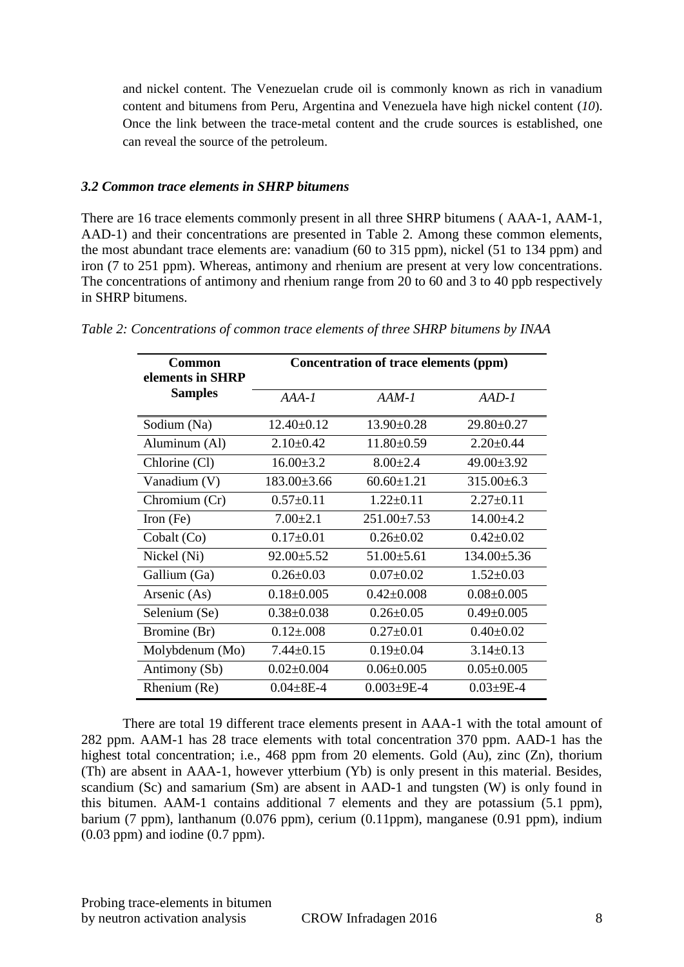and nickel content. The Venezuelan crude oil is commonly known as rich in vanadium content and bitumens from Peru, Argentina and Venezuela have high nickel content (*10*). Once the link between the trace-metal content and the crude sources is established, one can reveal the source of the petroleum.

#### *3.2 Common trace elements in SHRP bitumens*

There are 16 trace elements commonly present in all three SHRP bitumens ( AAA-1, AAM-1, AAD-1) and their concentrations are presented in Table 2. Among these common elements, the most abundant trace elements are: vanadium (60 to 315 ppm), nickel (51 to 134 ppm) and iron (7 to 251 ppm). Whereas, antimony and rhenium are present at very low concentrations. The concentrations of antimony and rhenium range from 20 to 60 and 3 to 40 ppb respectively in SHRP bitumens.

| <b>Common</b><br>elements in SHRP | Concentration of trace elements (ppm) |                    |                   |  |  |  |
|-----------------------------------|---------------------------------------|--------------------|-------------------|--|--|--|
| <b>Samples</b>                    | $AAA-I$                               | $AAM-1$            | $AAD-1$           |  |  |  |
| Sodium (Na)                       | $12.40 \pm 0.12$                      | $13.90 \pm 0.28$   | $29.80 \pm 0.27$  |  |  |  |
| Aluminum (Al)                     | $2.10\pm0.42$                         | $11.80 \pm 0.59$   | $2.20 \pm 0.44$   |  |  |  |
| Chlorine (Cl)                     | $16.00 \pm 3.2$                       | $8.00 \pm 2.4$     | $49.00 \pm 3.92$  |  |  |  |
| Vanadium (V)                      | $183.00 \pm 3.66$                     | $60.60 \pm 1.21$   | $315.00\pm 6.3$   |  |  |  |
| Chromium (Cr)                     | $0.57 \pm 0.11$                       | $1.22 \pm 0.11$    | $2.27 \pm 0.11$   |  |  |  |
| Iron $(Fe)$                       | $7.00 \pm 2.1$                        | $251.00 \pm 7.53$  | $14.00 \pm 4.2$   |  |  |  |
| Cobalt (Co)                       | $0.17 \pm 0.01$                       | $0.26 \pm 0.02$    | $0.42 \pm 0.02$   |  |  |  |
| Nickel (Ni)                       | $92.00 \pm 5.52$                      | $51.00 \pm 5.61$   | $134.00 \pm 5.36$ |  |  |  |
| Gallium (Ga)                      | $0.26 \pm 0.03$                       | $0.07 \pm 0.02$    | $1.52 \pm 0.03$   |  |  |  |
| Arsenic (As)                      | $0.18 \pm 0.005$                      | $0.42 \pm 0.008$   | $0.08 \pm 0.005$  |  |  |  |
| Selenium (Se)                     | $0.38 \pm 0.038$                      | $0.26 \pm 0.05$    | $0.49 \pm 0.005$  |  |  |  |
| Bromine (Br)                      | $0.12 \pm 0.008$                      | $0.27 \pm 0.01$    | $0.40 \pm 0.02$   |  |  |  |
| Molybdenum (Mo)                   | $7.44 \pm 0.15$                       | $0.19 \pm 0.04$    | $3.14 \pm 0.13$   |  |  |  |
| Antimony (Sb)                     | $0.02 \pm 0.004$                      | $0.06 \pm 0.005$   | $0.05 \pm 0.005$  |  |  |  |
| Rhenium (Re)                      | $0.04 \pm 8E - 4$                     | $0.003 \pm 9E - 4$ | $0.03 \pm 9E - 4$ |  |  |  |

*Table 2: Concentrations of common trace elements of three SHRP bitumens by INAA*

There are total 19 different trace elements present in AAA-1 with the total amount of 282 ppm. AAM-1 has 28 trace elements with total concentration 370 ppm. AAD-1 has the highest total concentration; i.e., 468 ppm from 20 elements. Gold (Au), zinc (Zn), thorium (Th) are absent in AAA-1, however ytterbium (Yb) is only present in this material. Besides, scandium (Sc) and samarium (Sm) are absent in AAD-1 and tungsten (W) is only found in this bitumen. AAM-1 contains additional 7 elements and they are potassium (5.1 ppm), barium (7 ppm), lanthanum (0.076 ppm), cerium (0.11ppm), manganese (0.91 ppm), indium (0.03 ppm) and iodine (0.7 ppm).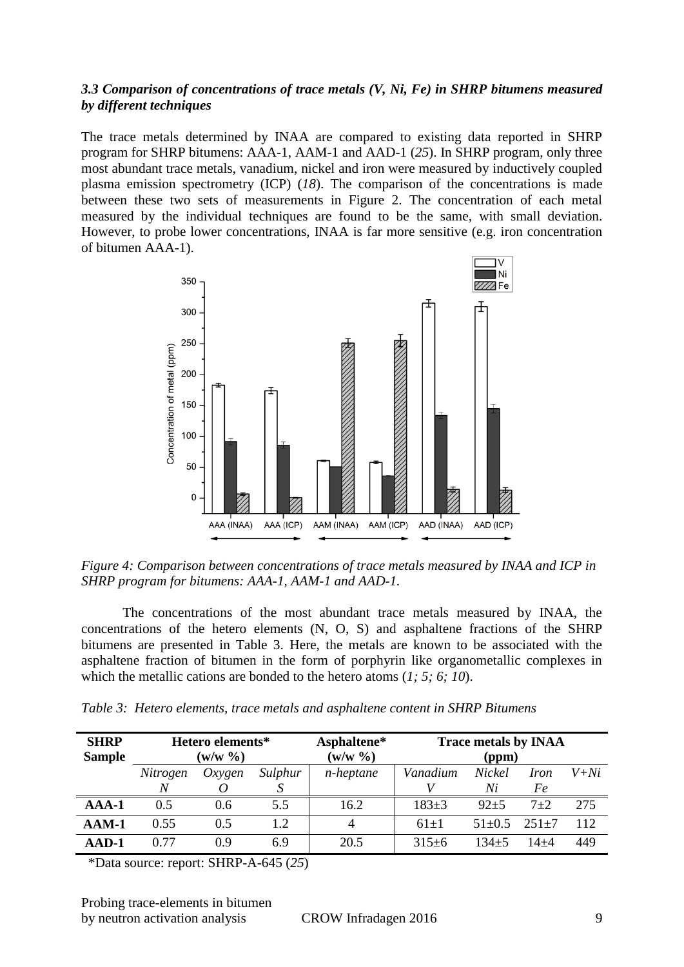## *3.3 Comparison of concentrations of trace metals (V, Ni, Fe) in SHRP bitumens measured by different techniques*

The trace metals determined by INAA are compared to existing data reported in SHRP program for SHRP bitumens: AAA-1, AAM-1 and AAD-1 (*25*). In SHRP program, only three most abundant trace metals, vanadium, nickel and iron were measured by inductively coupled plasma emission spectrometry (ICP) (*18*). The comparison of the concentrations is made between these two sets of measurements in Figure 2. The concentration of each metal measured by the individual techniques are found to be the same, with small deviation. However, to probe lower concentrations, INAA is far more sensitive (e.g. iron concentration of bitumen AAA-1).



*Figure 4: Comparison between concentrations of trace metals measured by INAA and ICP in SHRP program for bitumens: AAA-1, AAM-1 and AAD-1.*

The concentrations of the most abundant trace metals measured by INAA, the concentrations of the hetero elements (N, O, S) and asphaltene fractions of the SHRP bitumens are presented in Table 3. Here, the metals are known to be associated with the asphaltene fraction of bitumen in the form of porphyrin like organometallic complexes in which the metallic cations are bonded to the hetero atoms (*1; 5; 6; 10*).

| <b>SHRP</b><br><b>Sample</b> | Hetero elements*<br>$(w/w \gamma_0)$ |                  |              | Asphaltene*<br>$(w/w \ \% )$ | <b>Trace metals by INAA</b><br>(ppm) |              |                   |        |  |
|------------------------------|--------------------------------------|------------------|--------------|------------------------------|--------------------------------------|--------------|-------------------|--------|--|
|                              | Nitrogen<br>N                        | $Ox$ <i>ygen</i> | Sulphur<br>S | n-heptane                    | Vanadium                             | Nickel<br>Ni | <i>Iron</i><br>Fe | $V+Ni$ |  |
| $AA-1$                       | 0.5                                  | 0.6              | 5.5          | 16.2                         | $183+3$                              | $92 + 5$     | $7 + 2$           | 275    |  |
| $AAM-1$                      | 0.55                                 | 0.5              | 1.2          | 4                            | $61+1$                               | $51+0.5$     | $251+7$           | 112    |  |
| AAD-1                        | 0.77                                 | 0.9              | 6.9          | 20.5                         | $315+6$                              | $134 + 5$    | 14+4              | 449    |  |

*Table 3: Hetero elements, trace metals and asphaltene content in SHRP Bitumens*

\*Data source: report: SHRP-A-645 (*25*)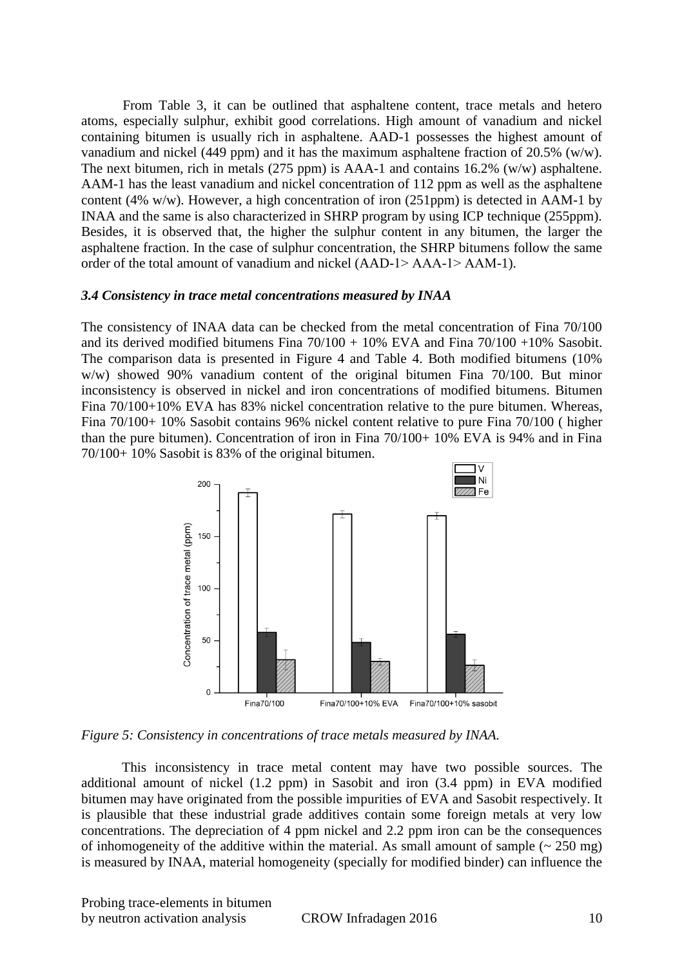From Table 3, it can be outlined that asphaltene content, trace metals and hetero atoms, especially sulphur, exhibit good correlations. High amount of vanadium and nickel containing bitumen is usually rich in asphaltene. AAD-1 possesses the highest amount of vanadium and nickel (449 ppm) and it has the maximum asphaltene fraction of 20.5% (w/w). The next bitumen, rich in metals (275 ppm) is AAA-1 and contains 16.2% (w/w) asphaltene. AAM-1 has the least vanadium and nickel concentration of 112 ppm as well as the asphaltene content (4% w/w). However, a high concentration of iron (251ppm) is detected in AAM-1 by INAA and the same is also characterized in SHRP program by using ICP technique (255ppm). Besides, it is observed that, the higher the sulphur content in any bitumen, the larger the asphaltene fraction. In the case of sulphur concentration, the SHRP bitumens follow the same order of the total amount of vanadium and nickel (AAD-1> AAA-1> AAM-1).

#### *3.4 Consistency in trace metal concentrations measured by INAA*

The consistency of INAA data can be checked from the metal concentration of Fina 70/100 and its derived modified bitumens Fina  $70/100 + 10\%$  EVA and Fina  $70/100 + 10\%$  Sasobit. The comparison data is presented in Figure 4 and Table 4. Both modified bitumens (10% w/w) showed 90% vanadium content of the original bitumen Fina 70/100. But minor inconsistency is observed in nickel and iron concentrations of modified bitumens. Bitumen Fina 70/100+10% EVA has 83% nickel concentration relative to the pure bitumen. Whereas, Fina 70/100+ 10% Sasobit contains 96% nickel content relative to pure Fina 70/100 ( higher than the pure bitumen). Concentration of iron in Fina 70/100+ 10% EVA is 94% and in Fina 70/100+ 10% Sasobit is 83% of the original bitumen.



*Figure 5: Consistency in concentrations of trace metals measured by INAA.*

This inconsistency in trace metal content may have two possible sources. The additional amount of nickel (1.2 ppm) in Sasobit and iron (3.4 ppm) in EVA modified bitumen may have originated from the possible impurities of EVA and Sasobit respectively. It is plausible that these industrial grade additives contain some foreign metals at very low concentrations. The depreciation of 4 ppm nickel and 2.2 ppm iron can be the consequences of inhomogeneity of the additive within the material. As small amount of sample  $\sim 250$  mg) is measured by INAA, material homogeneity (specially for modified binder) can influence the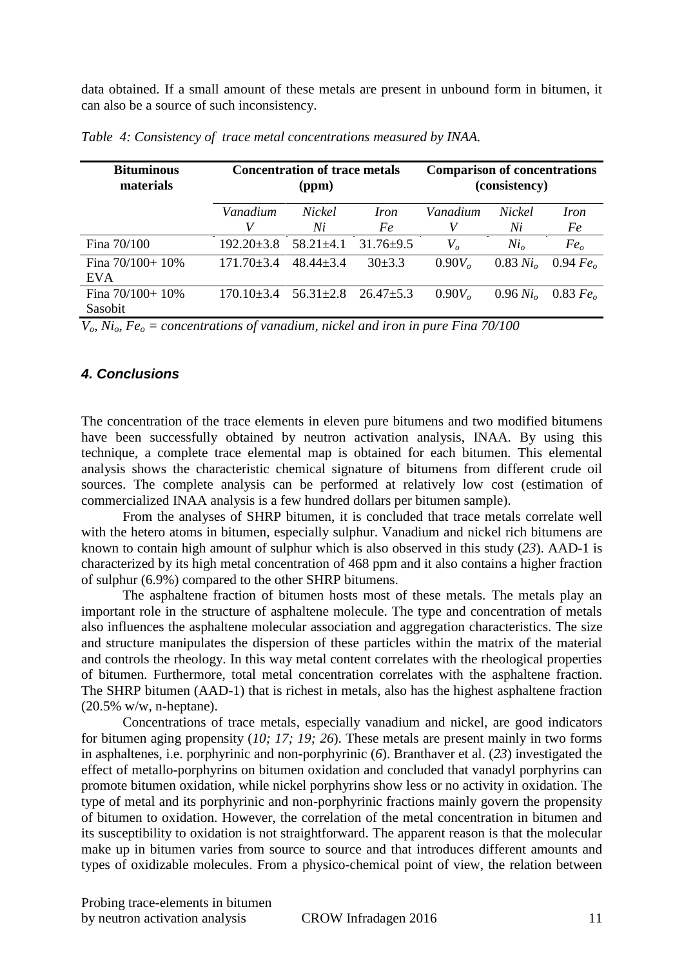data obtained. If a small amount of these metals are present in unbound form in bitumen, it can also be a source of such inconsistency.

| <b>Bituminous</b><br>materials  |                  | <b>Concentration of trace metals</b><br>(ppm) |                                 |                    | <b>Comparison of concentrations</b><br>(consistency) |                      |  |  |
|---------------------------------|------------------|-----------------------------------------------|---------------------------------|--------------------|------------------------------------------------------|----------------------|--|--|
|                                 | Vanadium<br>V    | <i>Nickel</i><br>Ni                           | <i>Iron</i><br>Fe               | Vanadium           | <i>Nickel</i><br>Ni                                  | <i>Iron</i><br>Fe    |  |  |
| Fina 70/100                     | $192.20 \pm 3.8$ | $58.21 \pm 4.1$                               | $31.76 \pm 9.5$                 | $V_{o}$            | Ni <sub>o</sub>                                      | Fe <sub>o</sub>      |  |  |
| Fina $70/100+10%$<br><b>EVA</b> | $171.70 \pm 3.4$ | $48.44 + 3.4$                                 | $30\pm3.3$                      | 0.90V <sub>o</sub> | $0.83 N_{l_0}$                                       | 0.94 $Feo$           |  |  |
| Fina $70/100+10%$<br>Sasobit    | $170.10\pm3.4$   |                                               | $56.31 \pm 2.8$ $26.47 \pm 5.3$ | 0.90V <sub>o</sub> | $0.96 N i_{o}$                                       | 0.83 Fe <sub>o</sub> |  |  |

*Table 4: Consistency of trace metal concentrations measured by INAA.*

*Vo*, *Nio*, *Fe<sup>o</sup> = concentrations of vanadium, nickel and iron in pure Fina 70/100*

## *4. Conclusions*

The concentration of the trace elements in eleven pure bitumens and two modified bitumens have been successfully obtained by neutron activation analysis, INAA. By using this technique, a complete trace elemental map is obtained for each bitumen. This elemental analysis shows the characteristic chemical signature of bitumens from different crude oil sources. The complete analysis can be performed at relatively low cost (estimation of commercialized INAA analysis is a few hundred dollars per bitumen sample).

From the analyses of SHRP bitumen, it is concluded that trace metals correlate well with the hetero atoms in bitumen, especially sulphur. Vanadium and nickel rich bitumens are known to contain high amount of sulphur which is also observed in this study (*23*). AAD-1 is characterized by its high metal concentration of 468 ppm and it also contains a higher fraction of sulphur (6.9%) compared to the other SHRP bitumens.

The asphaltene fraction of bitumen hosts most of these metals. The metals play an important role in the structure of asphaltene molecule. The type and concentration of metals also influences the asphaltene molecular association and aggregation characteristics. The size and structure manipulates the dispersion of these particles within the matrix of the material and controls the rheology. In this way metal content correlates with the rheological properties of bitumen. Furthermore, total metal concentration correlates with the asphaltene fraction. The SHRP bitumen (AAD-1) that is richest in metals, also has the highest asphaltene fraction (20.5% w/w, n-heptane).

Concentrations of trace metals, especially vanadium and nickel, are good indicators for bitumen aging propensity (*10; 17; 19; 26*). These metals are present mainly in two forms in asphaltenes, i.e. porphyrinic and non-porphyrinic (*6*). Branthaver et al. (*23*) investigated the effect of metallo-porphyrins on bitumen oxidation and concluded that vanadyl porphyrins can promote bitumen oxidation, while nickel porphyrins show less or no activity in oxidation. The type of metal and its porphyrinic and non-porphyrinic fractions mainly govern the propensity of bitumen to oxidation. However, the correlation of the metal concentration in bitumen and its susceptibility to oxidation is not straightforward. The apparent reason is that the molecular make up in bitumen varies from source to source and that introduces different amounts and types of oxidizable molecules. From a physico-chemical point of view, the relation between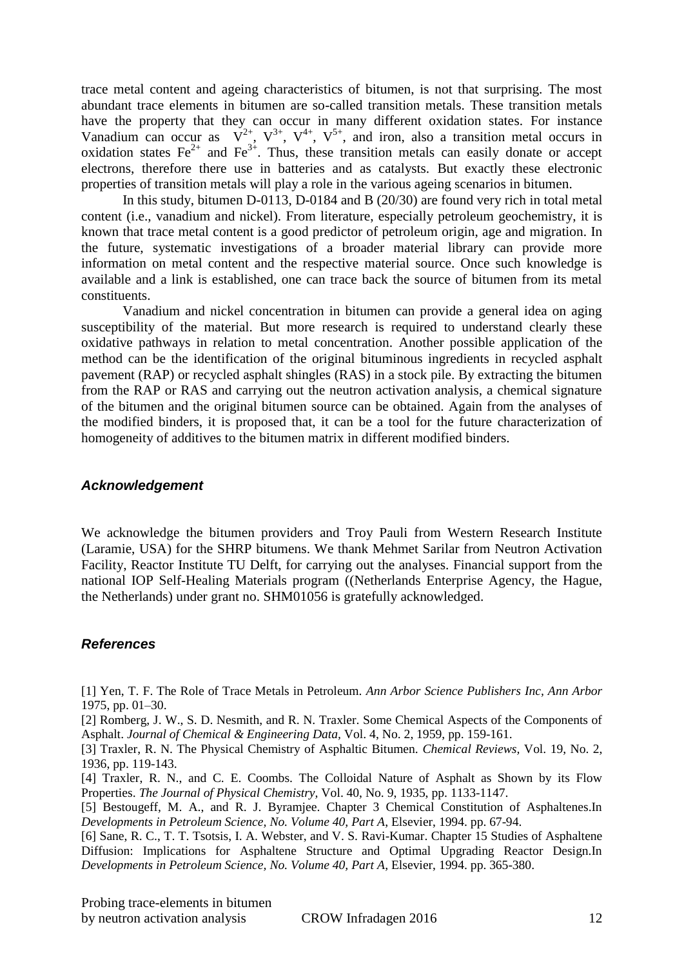trace metal content and ageing characteristics of bitumen, is not that surprising. The most abundant trace elements in bitumen are so-called transition metals. These transition metals have the property that they can occur in many different oxidation states. For instance Vanadium can occur as  $V^{2+}$ ,  $V^{3+}$ ,  $V^{4+}$ ,  $V^{5+}$ , and iron, also a transition metal occurs in oxidation states  $\text{Fe}^{2+}$  and  $\text{Fe}^{3+}$ . Thus, these transition metals can easily donate or accept electrons, therefore there use in batteries and as catalysts. But exactly these electronic properties of transition metals will play a role in the various ageing scenarios in bitumen.

In this study, bitumen D-0113, D-0184 and B (20/30) are found very rich in total metal content (i.e., vanadium and nickel). From literature, especially petroleum geochemistry, it is known that trace metal content is a good predictor of petroleum origin, age and migration. In the future, systematic investigations of a broader material library can provide more information on metal content and the respective material source. Once such knowledge is available and a link is established, one can trace back the source of bitumen from its metal constituents.

Vanadium and nickel concentration in bitumen can provide a general idea on aging susceptibility of the material. But more research is required to understand clearly these oxidative pathways in relation to metal concentration. Another possible application of the method can be the identification of the original bituminous ingredients in recycled asphalt pavement (RAP) or recycled asphalt shingles (RAS) in a stock pile. By extracting the bitumen from the RAP or RAS and carrying out the neutron activation analysis, a chemical signature of the bitumen and the original bitumen source can be obtained. Again from the analyses of the modified binders, it is proposed that, it can be a tool for the future characterization of homogeneity of additives to the bitumen matrix in different modified binders.

# *Acknowledgement*

We acknowledge the bitumen providers and Troy Pauli from Western Research Institute (Laramie, USA) for the SHRP bitumens. We thank Mehmet Sarilar from Neutron Activation Facility, Reactor Institute TU Delft, for carrying out the analyses. Financial support from the national IOP Self-Healing Materials program ((Netherlands Enterprise Agency, the Hague, the Netherlands) under grant no. SHM01056 is gratefully acknowledged.

# *References*

[1] Yen, T. F. The Role of Trace Metals in Petroleum. *Ann Arbor Science Publishers Inc, Ann Arbor*  1975, pp. 01–30.

[2] Romberg, J. W., S. D. Nesmith, and R. N. Traxler. Some Chemical Aspects of the Components of Asphalt. *Journal of Chemical & Engineering Data,* Vol. 4, No. 2, 1959, pp. 159-161.

[3] Traxler, R. N. The Physical Chemistry of Asphaltic Bitumen. *Chemical Reviews,* Vol. 19, No. 2, 1936, pp. 119-143.

[4] Traxler, R. N., and C. E. Coombs. The Colloidal Nature of Asphalt as Shown by its Flow Properties. *The Journal of Physical Chemistry,* Vol. 40, No. 9, 1935, pp. 1133-1147.

[5] Bestougeff, M. A., and R. J. Byramjee. Chapter 3 Chemical Constitution of Asphaltenes.In *Developments in Petroleum Science, No. Volume 40, Part A*, Elsevier, 1994. pp. 67-94.

[6] Sane, R. C., T. T. Tsotsis, I. A. Webster, and V. S. Ravi-Kumar. Chapter 15 Studies of Asphaltene Diffusion: Implications for Asphaltene Structure and Optimal Upgrading Reactor Design.In *Developments in Petroleum Science, No. Volume 40, Part A*, Elsevier, 1994. pp. 365-380.